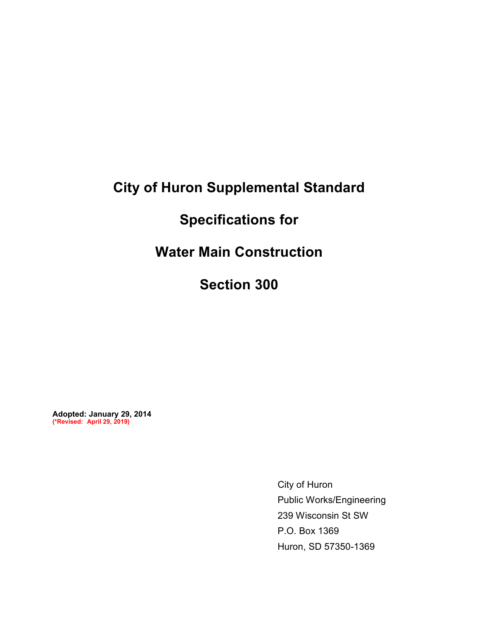# **City of Huron Supplemental Standard**

# **Specifications for**

**Water Main Construction** 

**Section 300** 

**Adopted: January 29, 2014 (\*Revised: April 29, 2019)**

> City of Huron Public Works/Engineering 239 Wisconsin St SW P.O. Box 1369 Huron, SD 57350-1369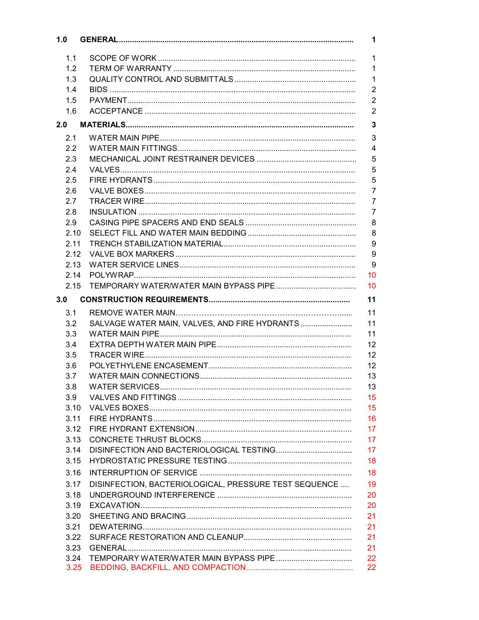| 1.0          |                                                             | 1              |
|--------------|-------------------------------------------------------------|----------------|
| 1.1          |                                                             | $\mathbf{1}$   |
| 1.2          |                                                             | $\mathbf{1}$   |
| 1.3          |                                                             | $\mathbf{1}$   |
|              |                                                             | $\overline{2}$ |
| 1.4          |                                                             |                |
| 1.5          |                                                             | $\overline{2}$ |
| 1.6          |                                                             | $\overline{2}$ |
| 2.0          |                                                             | $\mathbf{3}$   |
| 2.1          |                                                             | 3              |
| 2.2          |                                                             | $\overline{4}$ |
| 2.3          |                                                             | 5              |
| 2.4          |                                                             | 5              |
| 2.5          |                                                             | 5              |
| 2.6          |                                                             | $\overline{7}$ |
| 2.7          |                                                             | $\overline{7}$ |
| 2.8          |                                                             | $\overline{7}$ |
| 2.9          |                                                             | 8              |
| 2.10         |                                                             | 8              |
| 2.11         |                                                             | 9              |
| 2.12         |                                                             | 9              |
| 2.13         |                                                             | 9              |
| 2.14         | 10                                                          |                |
| 2.15         | 10                                                          |                |
| 3.0          | 11                                                          |                |
| 3.1          | 11                                                          |                |
| 3.2          | SALVAGE WATER MAIN, VALVES, AND FIRE HYDRANTS<br>11         |                |
| 3.3          | 11                                                          |                |
| 3.4          | 12                                                          |                |
| 3.5          | 12                                                          |                |
| 3.6          | 12                                                          |                |
| 3.7          | 13                                                          |                |
| 3.8          | 13                                                          |                |
| 3.9          | 15                                                          |                |
| 3.10         | 15                                                          |                |
| 3.11         | 16                                                          |                |
| 3.12         | 17                                                          |                |
| 3.13         | 17                                                          |                |
| 3.14         | 17                                                          |                |
| 3.15         | 18                                                          |                |
| 3.16         | 18                                                          |                |
|              | DISINFECTION, BACTERIOLOGICAL, PRESSURE TEST SEQUENCE<br>19 |                |
| 3.17         |                                                             |                |
| 3.18         | 20                                                          |                |
| 3.19         | 20                                                          |                |
| 3.20         | 21                                                          |                |
| 3.21         | 21                                                          |                |
| 3.22         | 21                                                          |                |
| 3.23         | 21                                                          |                |
| 3.24<br>3.25 | 22<br>22                                                    |                |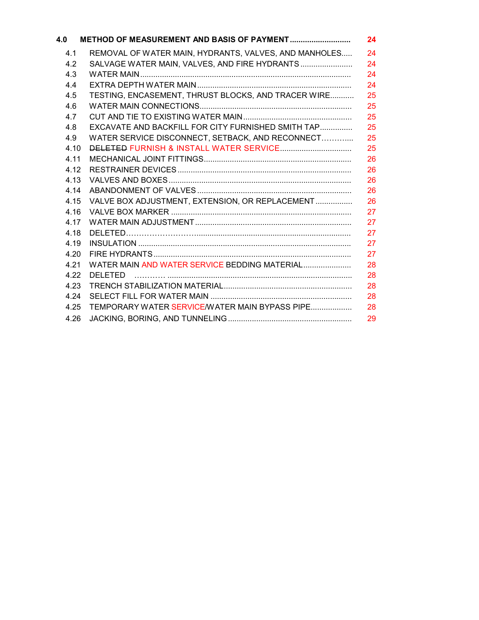| 4.0  | METHOD OF MEASUREMENT AND BASIS OF PAYMENT            | 24 |
|------|-------------------------------------------------------|----|
| 4.1  | REMOVAL OF WATER MAIN, HYDRANTS, VALVES, AND MANHOLES | 24 |
| 4.2  | SALVAGE WATER MAIN, VALVES, AND FIRE HYDRANTS         | 24 |
| 4.3  |                                                       | 24 |
| 4.4  |                                                       | 24 |
| 4.5  | TESTING, ENCASEMENT, THRUST BLOCKS, AND TRACER WIRE   | 25 |
| 4.6  |                                                       | 25 |
| 4.7  |                                                       | 25 |
| 4.8  | EXCAVATE AND BACKFILL FOR CITY FURNISHED SMITH TAP    | 25 |
| 4.9  | WATER SERVICE DISCONNECT, SETBACK, AND RECONNECT      | 25 |
| 4.10 | <b>DELETED FURNISH &amp; INSTALL WATER SERVICE</b>    | 25 |
| 4.11 |                                                       | 26 |
| 4.12 |                                                       | 26 |
| 4.13 |                                                       | 26 |
| 4.14 |                                                       | 26 |
| 4.15 | VALVE BOX ADJUSTMENT, EXTENSION, OR REPLACEMENT       | 26 |
| 4.16 |                                                       | 27 |
| 4.17 |                                                       | 27 |
| 4.18 |                                                       | 27 |
| 4.19 |                                                       | 27 |
| 4.20 |                                                       | 27 |
| 4.21 | WATER MAIN AND WATER SERVICE BEDDING MATERIAL         | 28 |
| 4.22 | <b>DELETED</b>                                        | 28 |
| 4.23 |                                                       | 28 |
| 4.24 |                                                       | 28 |
| 4.25 | TEMPORARY WATER SERVICE/WATER MAIN BYPASS PIPE        | 28 |
| 4.26 |                                                       | 29 |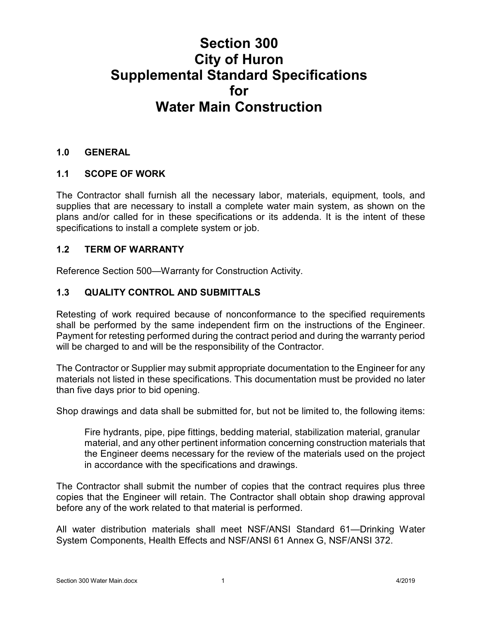# **Section 300 City of Huron Supplemental Standard Specifications for Water Main Construction**

#### **1.0 GENERAL**

#### **1.1 SCOPE OF WORK**

The Contractor shall furnish all the necessary labor, materials, equipment, tools, and supplies that are necessary to install a complete water main system, as shown on the plans and/or called for in these specifications or its addenda. It is the intent of these specifications to install a complete system or job.

#### **1.2 TERM OF WARRANTY**

Reference Section 500—Warranty for Construction Activity.

#### **1.3 QUALITY CONTROL AND SUBMITTALS**

Retesting of work required because of nonconformance to the specified requirements shall be performed by the same independent firm on the instructions of the Engineer. Payment for retesting performed during the contract period and during the warranty period will be charged to and will be the responsibility of the Contractor.

The Contractor or Supplier may submit appropriate documentation to the Engineer for any materials not listed in these specifications. This documentation must be provided no later than five days prior to bid opening.

Shop drawings and data shall be submitted for, but not be limited to, the following items:

Fire hydrants, pipe, pipe fittings, bedding material, stabilization material, granular material, and any other pertinent information concerning construction materials that the Engineer deems necessary for the review of the materials used on the project in accordance with the specifications and drawings.

The Contractor shall submit the number of copies that the contract requires plus three copies that the Engineer will retain. The Contractor shall obtain shop drawing approval before any of the work related to that material is performed.

All water distribution materials shall meet NSF/ANSI Standard 61—Drinking Water System Components, Health Effects and NSF/ANSI 61 Annex G, NSF/ANSI 372.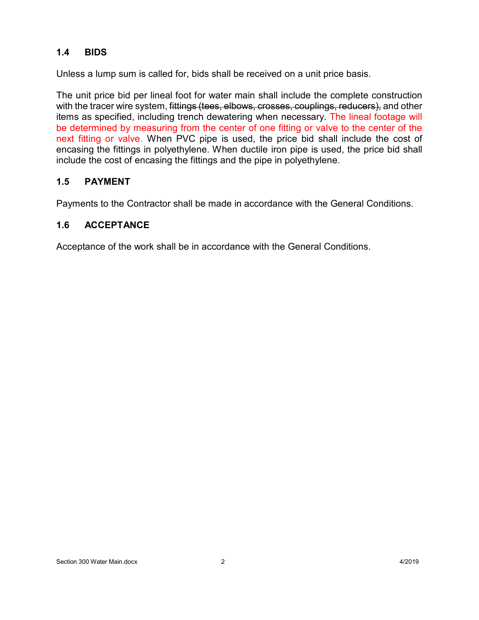## **1.4 BIDS**

Unless a lump sum is called for, bids shall be received on a unit price basis.

The unit price bid per lineal foot for water main shall include the complete construction with the tracer wire system, fittings (tees, elbows, crosses, couplings, reducers), and other items as specified, including trench dewatering when necessary. The lineal footage will be determined by measuring from the center of one fitting or valve to the center of the next fitting or valve. When PVC pipe is used, the price bid shall include the cost of encasing the fittings in polyethylene. When ductile iron pipe is used, the price bid shall include the cost of encasing the fittings and the pipe in polyethylene.

#### **1.5 PAYMENT**

Payments to the Contractor shall be made in accordance with the General Conditions.

#### **1.6 ACCEPTANCE**

Acceptance of the work shall be in accordance with the General Conditions.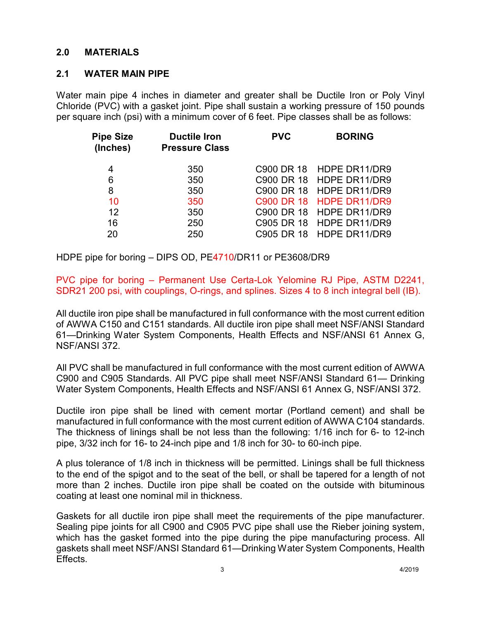#### **2.0 MATERIALS**

#### **2.1 WATER MAIN PIPE**

Water main pipe 4 inches in diameter and greater shall be Ductile Iron or Poly Vinyl Chloride (PVC) with a gasket joint. Pipe shall sustain a working pressure of 150 pounds per square inch (psi) with a minimum cover of 6 feet. Pipe classes shall be as follows:

| <b>Pipe Size</b><br>(Inches) | <b>Ductile Iron</b><br><b>Pressure Class</b> | <b>PVC</b>             | <b>BORING</b>            |
|------------------------------|----------------------------------------------|------------------------|--------------------------|
| 4                            | 350                                          | C <sub>900</sub> DR 18 | HDPE DR11/DR9            |
| 6                            | 350                                          |                        | C900 DR 18 HDPE DR11/DR9 |
| 8                            | 350                                          | C900 DR 18             | HDPE DR11/DR9            |
| 10                           | 350                                          | C900 DR 18             | <b>HDPE DR11/DR9</b>     |
| 12                           | 350                                          |                        | C900 DR 18 HDPE DR11/DR9 |
| 16                           | 250                                          |                        | C905 DR 18 HDPE DR11/DR9 |
| 20                           | 250                                          |                        | C905 DR 18 HDPE DR11/DR9 |
|                              |                                              |                        |                          |

HDPE pipe for boring – DIPS OD, PE4710/DR11 or PE3608/DR9

PVC pipe for boring – Permanent Use Certa-Lok Yelomine RJ Pipe, ASTM D2241, SDR21 200 psi, with couplings, O-rings, and splines. Sizes 4 to 8 inch integral bell (IB).

All ductile iron pipe shall be manufactured in full conformance with the most current edition of AWWA C150 and C151 standards. All ductile iron pipe shall meet NSF/ANSI Standard 61—Drinking Water System Components, Health Effects and NSF/ANSI 61 Annex G, NSF/ANSI 372.

All PVC shall be manufactured in full conformance with the most current edition of AWWA C900 and C905 Standards. All PVC pipe shall meet NSF/ANSI Standard 61— Drinking Water System Components, Health Effects and NSF/ANSI 61 Annex G, NSF/ANSI 372.

Ductile iron pipe shall be lined with cement mortar (Portland cement) and shall be manufactured in full conformance with the most current edition of AWWA C104 standards. The thickness of linings shall be not less than the following: 1/16 inch for 6- to 12-inch pipe, 3/32 inch for 16- to 24-inch pipe and 1/8 inch for 30- to 60-inch pipe.

A plus tolerance of 1/8 inch in thickness will be permitted. Linings shall be full thickness to the end of the spigot and to the seat of the bell, or shall be tapered for a length of not more than 2 inches. Ductile iron pipe shall be coated on the outside with bituminous coating at least one nominal mil in thickness.

Gaskets for all ductile iron pipe shall meet the requirements of the pipe manufacturer. Sealing pipe joints for all C900 and C905 PVC pipe shall use the Rieber joining system, which has the gasket formed into the pipe during the pipe manufacturing process. All gaskets shall meet NSF/ANSI Standard 61—Drinking Water System Components, Health Effects.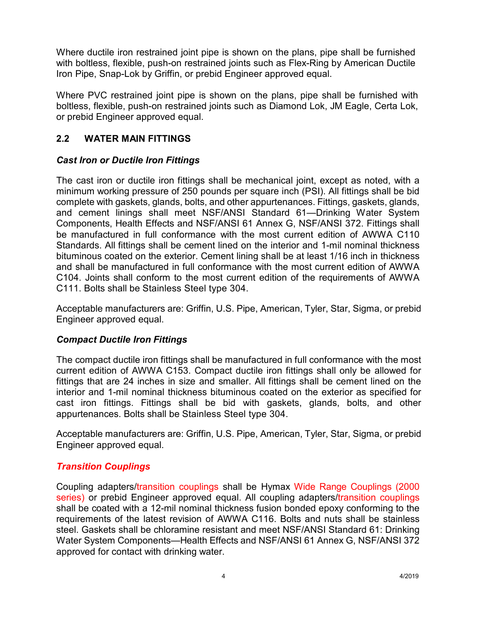Where ductile iron restrained joint pipe is shown on the plans, pipe shall be furnished with boltless, flexible, push-on restrained joints such as Flex-Ring by American Ductile Iron Pipe, Snap-Lok by Griffin, or prebid Engineer approved equal.

Where PVC restrained joint pipe is shown on the plans, pipe shall be furnished with boltless, flexible, push-on restrained joints such as Diamond Lok, JM Eagle, Certa Lok, or prebid Engineer approved equal.

## **2.2 WATER MAIN FITTINGS**

## *Cast Iron or Ductile Iron Fittings*

The cast iron or ductile iron fittings shall be mechanical joint, except as noted, with a minimum working pressure of 250 pounds per square inch (PSI). All fittings shall be bid complete with gaskets, glands, bolts, and other appurtenances. Fittings, gaskets, glands, and cement linings shall meet NSF/ANSI Standard 61—Drinking Water System Components, Health Effects and NSF/ANSI 61 Annex G, NSF/ANSI 372. Fittings shall be manufactured in full conformance with the most current edition of AWWA C110 Standards. All fittings shall be cement lined on the interior and 1-mil nominal thickness bituminous coated on the exterior. Cement lining shall be at least 1/16 inch in thickness and shall be manufactured in full conformance with the most current edition of AWWA C104. Joints shall conform to the most current edition of the requirements of AWWA C111. Bolts shall be Stainless Steel type 304.

Acceptable manufacturers are: Griffin, U.S. Pipe, American, Tyler, Star, Sigma, or prebid Engineer approved equal.

#### *Compact Ductile Iron Fittings*

The compact ductile iron fittings shall be manufactured in full conformance with the most current edition of AWWA C153. Compact ductile iron fittings shall only be allowed for fittings that are 24 inches in size and smaller. All fittings shall be cement lined on the interior and 1-mil nominal thickness bituminous coated on the exterior as specified for cast iron fittings. Fittings shall be bid with gaskets, glands, bolts, and other appurtenances. Bolts shall be Stainless Steel type 304.

Acceptable manufacturers are: Griffin, U.S. Pipe, American, Tyler, Star, Sigma, or prebid Engineer approved equal.

# *Transition Couplings*

Coupling adapters/transition couplings shall be Hymax Wide Range Couplings (2000 series) or prebid Engineer approved equal. All coupling adapters/transition couplings shall be coated with a 12-mil nominal thickness fusion bonded epoxy conforming to the requirements of the latest revision of AWWA C116. Bolts and nuts shall be stainless steel. Gaskets shall be chloramine resistant and meet NSF/ANSI Standard 61: Drinking Water System Components—Health Effects and NSF/ANSI 61 Annex G, NSF/ANSI 372 approved for contact with drinking water.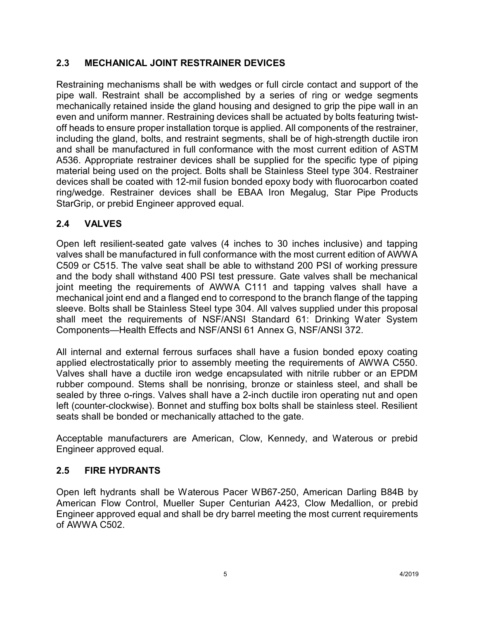# **2.3 MECHANICAL JOINT RESTRAINER DEVICES**

Restraining mechanisms shall be with wedges or full circle contact and support of the pipe wall. Restraint shall be accomplished by a series of ring or wedge segments mechanically retained inside the gland housing and designed to grip the pipe wall in an even and uniform manner. Restraining devices shall be actuated by bolts featuring twistoff heads to ensure proper installation torque is applied. All components of the restrainer, including the gland, bolts, and restraint segments, shall be of high-strength ductile iron and shall be manufactured in full conformance with the most current edition of ASTM A536. Appropriate restrainer devices shall be supplied for the specific type of piping material being used on the project. Bolts shall be Stainless Steel type 304. Restrainer devices shall be coated with 12-mil fusion bonded epoxy body with fluorocarbon coated ring/wedge. Restrainer devices shall be EBAA Iron Megalug, Star Pipe Products StarGrip, or prebid Engineer approved equal.

## **2.4 VALVES**

Open left resilient-seated gate valves (4 inches to 30 inches inclusive) and tapping valves shall be manufactured in full conformance with the most current edition of AWWA C509 or C515. The valve seat shall be able to withstand 200 PSI of working pressure and the body shall withstand 400 PSI test pressure. Gate valves shall be mechanical joint meeting the requirements of AWWA C111 and tapping valves shall have a mechanical joint end and a flanged end to correspond to the branch flange of the tapping sleeve. Bolts shall be Stainless Steel type 304. All valves supplied under this proposal shall meet the requirements of NSF/ANSI Standard 61: Drinking Water System Components—Health Effects and NSF/ANSI 61 Annex G, NSF/ANSI 372.

All internal and external ferrous surfaces shall have a fusion bonded epoxy coating applied electrostatically prior to assembly meeting the requirements of AWWA C550. Valves shall have a ductile iron wedge encapsulated with nitrile rubber or an EPDM rubber compound. Stems shall be nonrising, bronze or stainless steel, and shall be sealed by three o-rings. Valves shall have a 2-inch ductile iron operating nut and open left (counter-clockwise). Bonnet and stuffing box bolts shall be stainless steel. Resilient seats shall be bonded or mechanically attached to the gate.

Acceptable manufacturers are American, Clow, Kennedy, and Waterous or prebid Engineer approved equal.

#### **2.5 FIRE HYDRANTS**

Open left hydrants shall be Waterous Pacer WB67-250, American Darling B84B by American Flow Control, Mueller Super Centurian A423, Clow Medallion, or prebid Engineer approved equal and shall be dry barrel meeting the most current requirements of AWWA C502.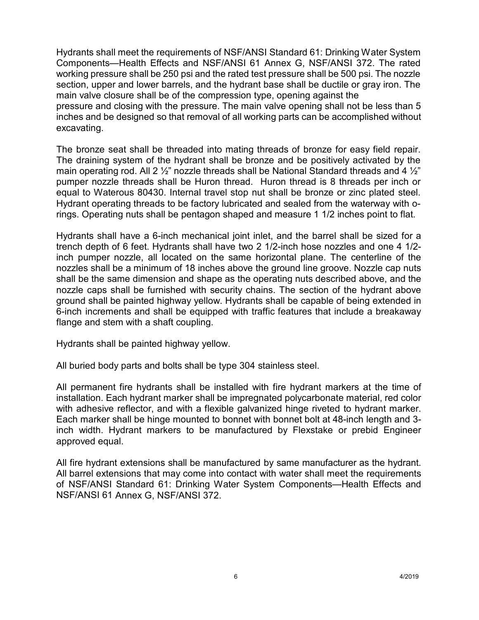Hydrants shall meet the requirements of NSF/ANSI Standard 61: Drinking Water System Components—Health Effects and NSF/ANSI 61 Annex G, NSF/ANSI 372. The rated working pressure shall be 250 psi and the rated test pressure shall be 500 psi. The nozzle section, upper and lower barrels, and the hydrant base shall be ductile or gray iron. The main valve closure shall be of the compression type, opening against the

pressure and closing with the pressure. The main valve opening shall not be less than 5 inches and be designed so that removal of all working parts can be accomplished without excavating.

The bronze seat shall be threaded into mating threads of bronze for easy field repair. The draining system of the hydrant shall be bronze and be positively activated by the main operating rod. All 2  $\frac{1}{2}$ " nozzle threads shall be National Standard threads and 4  $\frac{1}{2}$ " pumper nozzle threads shall be Huron thread. Huron thread is 8 threads per inch or equal to Waterous 80430. Internal travel stop nut shall be bronze or zinc plated steel. Hydrant operating threads to be factory lubricated and sealed from the waterway with orings. Operating nuts shall be pentagon shaped and measure 1 1/2 inches point to flat.

Hydrants shall have a 6-inch mechanical joint inlet, and the barrel shall be sized for a trench depth of 6 feet. Hydrants shall have two 2 1/2-inch hose nozzles and one 4 1/2 inch pumper nozzle, all located on the same horizontal plane. The centerline of the nozzles shall be a minimum of 18 inches above the ground line groove. Nozzle cap nuts shall be the same dimension and shape as the operating nuts described above, and the nozzle caps shall be furnished with security chains. The section of the hydrant above ground shall be painted highway yellow. Hydrants shall be capable of being extended in 6-inch increments and shall be equipped with traffic features that include a breakaway flange and stem with a shaft coupling.

Hydrants shall be painted highway yellow.

All buried body parts and bolts shall be type 304 stainless steel.

All permanent fire hydrants shall be installed with fire hydrant markers at the time of installation. Each hydrant marker shall be impregnated polycarbonate material, red color with adhesive reflector, and with a flexible galvanized hinge riveted to hydrant marker. Each marker shall be hinge mounted to bonnet with bonnet bolt at 48-inch length and 3 inch width. Hydrant markers to be manufactured by Flexstake or prebid Engineer approved equal.

All fire hydrant extensions shall be manufactured by same manufacturer as the hydrant. All barrel extensions that may come into contact with water shall meet the requirements of NSF/ANSI Standard 61: Drinking Water System Components—Health Effects and NSF/ANSI 61 Annex G, NSF/ANSI 372.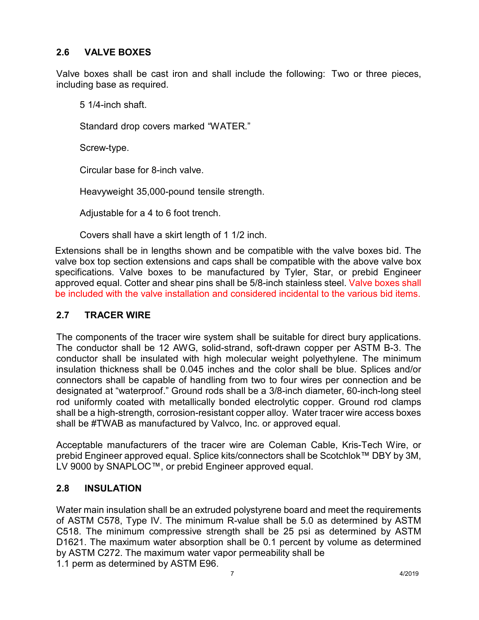# **2.6 VALVE BOXES**

Valve boxes shall be cast iron and shall include the following: Two or three pieces, including base as required.

5 1/4-inch shaft.

Standard drop covers marked "WATER."

Screw-type.

Circular base for 8-inch valve.

Heavyweight 35,000-pound tensile strength.

Adjustable for a 4 to 6 foot trench.

Covers shall have a skirt length of 1 1/2 inch.

Extensions shall be in lengths shown and be compatible with the valve boxes bid. The valve box top section extensions and caps shall be compatible with the above valve box specifications. Valve boxes to be manufactured by Tyler, Star, or prebid Engineer approved equal. Cotter and shear pins shall be 5/8-inch stainless steel. Valve boxes shall be included with the valve installation and considered incidental to the various bid items.

#### **2.7 TRACER WIRE**

The components of the tracer wire system shall be suitable for direct bury applications. The conductor shall be 12 AWG, solid-strand, soft-drawn copper per ASTM B-3. The conductor shall be insulated with high molecular weight polyethylene. The minimum insulation thickness shall be 0.045 inches and the color shall be blue. Splices and/or connectors shall be capable of handling from two to four wires per connection and be designated at "waterproof." Ground rods shall be a 3/8-inch diameter, 60-inch-long steel rod uniformly coated with metallically bonded electrolytic copper. Ground rod clamps shall be a high-strength, corrosion-resistant copper alloy. Water tracer wire access boxes shall be #TWAB as manufactured by Valvco, Inc. or approved equal.

Acceptable manufacturers of the tracer wire are Coleman Cable, Kris-Tech Wire, or prebid Engineer approved equal. Splice kits/connectors shall be Scotchlok™ DBY by 3M, LV 9000 by SNAPLOC™, or prebid Engineer approved equal.

# **2.8 INSULATION**

Water main insulation shall be an extruded polystyrene board and meet the requirements of ASTM C578, Type IV. The minimum R-value shall be 5.0 as determined by ASTM C518. The minimum compressive strength shall be 25 psi as determined by ASTM D1621. The maximum water absorption shall be 0.1 percent by volume as determined by ASTM C272. The maximum water vapor permeability shall be 1.1 perm as determined by ASTM E96.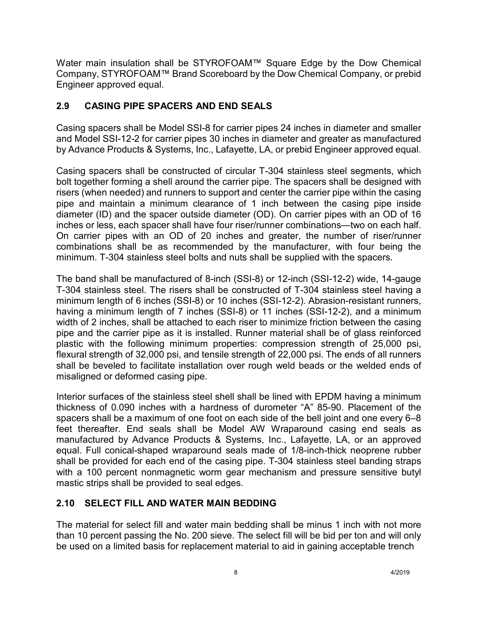Water main insulation shall be STYROFOAM™ Square Edge by the Dow Chemical Company, STYROFOAM™ Brand Scoreboard by the Dow Chemical Company, or prebid Engineer approved equal.

# **2.9 CASING PIPE SPACERS AND END SEALS**

Casing spacers shall be Model SSI-8 for carrier pipes 24 inches in diameter and smaller and Model SSI-12-2 for carrier pipes 30 inches in diameter and greater as manufactured by Advance Products & Systems, Inc., Lafayette, LA, or prebid Engineer approved equal.

Casing spacers shall be constructed of circular T-304 stainless steel segments, which bolt together forming a shell around the carrier pipe. The spacers shall be designed with risers (when needed) and runners to support and center the carrier pipe within the casing pipe and maintain a minimum clearance of 1 inch between the casing pipe inside diameter (ID) and the spacer outside diameter (OD). On carrier pipes with an OD of 16 inches or less, each spacer shall have four riser/runner combinations—two on each half. On carrier pipes with an OD of 20 inches and greater, the number of riser/runner combinations shall be as recommended by the manufacturer, with four being the minimum. T-304 stainless steel bolts and nuts shall be supplied with the spacers.

The band shall be manufactured of 8-inch (SSI-8) or 12-inch (SSI-12-2) wide, 14-gauge T-304 stainless steel. The risers shall be constructed of T-304 stainless steel having a minimum length of 6 inches (SSI-8) or 10 inches (SSI-12-2). Abrasion-resistant runners, having a minimum length of 7 inches (SSI-8) or 11 inches (SSI-12-2), and a minimum width of 2 inches, shall be attached to each riser to minimize friction between the casing pipe and the carrier pipe as it is installed. Runner material shall be of glass reinforced plastic with the following minimum properties: compression strength of 25,000 psi, flexural strength of 32,000 psi, and tensile strength of 22,000 psi. The ends of all runners shall be beveled to facilitate installation over rough weld beads or the welded ends of misaligned or deformed casing pipe.

Interior surfaces of the stainless steel shell shall be lined with EPDM having a minimum thickness of 0.090 inches with a hardness of durometer "A" 85-90. Placement of the spacers shall be a maximum of one foot on each side of the bell joint and one every 6–8 feet thereafter. End seals shall be Model AW Wraparound casing end seals as manufactured by Advance Products & Systems, Inc., Lafayette, LA, or an approved equal. Full conical-shaped wraparound seals made of 1/8-inch-thick neoprene rubber shall be provided for each end of the casing pipe. T-304 stainless steel banding straps with a 100 percent nonmagnetic worm gear mechanism and pressure sensitive butyl mastic strips shall be provided to seal edges.

# **2.10 SELECT FILL AND WATER MAIN BEDDING**

The material for select fill and water main bedding shall be minus 1 inch with not more than 10 percent passing the No. 200 sieve. The select fill will be bid per ton and will only be used on a limited basis for replacement material to aid in gaining acceptable trench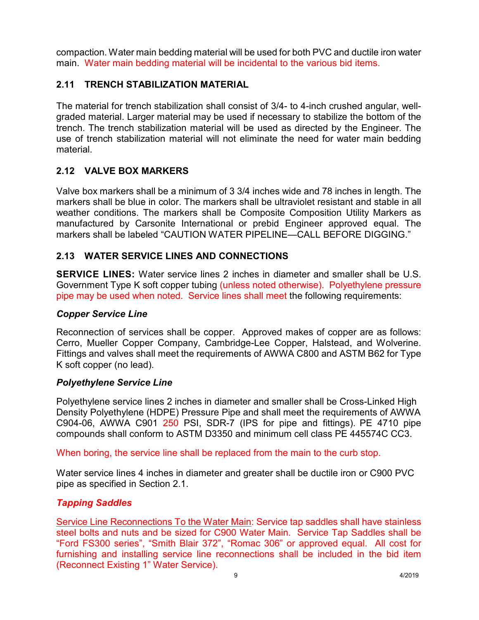compaction. Water main bedding material will be used for both PVC and ductile iron water main. Water main bedding material will be incidental to the various bid items.

## **2.11 TRENCH STABILIZATION MATERIAL**

The material for trench stabilization shall consist of 3/4- to 4-inch crushed angular, wellgraded material. Larger material may be used if necessary to stabilize the bottom of the trench. The trench stabilization material will be used as directed by the Engineer. The use of trench stabilization material will not eliminate the need for water main bedding material.

# **2.12 VALVE BOX MARKERS**

Valve box markers shall be a minimum of 3 3/4 inches wide and 78 inches in length. The markers shall be blue in color. The markers shall be ultraviolet resistant and stable in all weather conditions. The markers shall be Composite Composition Utility Markers as manufactured by Carsonite International or prebid Engineer approved equal. The markers shall be labeled "CAUTION WATER PIPELINE—CALL BEFORE DIGGING."

# **2.13 WATER SERVICE LINES AND CONNECTIONS**

**SERVICE LINES:** Water service lines 2 inches in diameter and smaller shall be U.S. Government Type K soft copper tubing (unless noted otherwise). Polyethylene pressure pipe may be used when noted. Service lines shall meet the following requirements:

#### *Copper Service Line*

Reconnection of services shall be copper. Approved makes of copper are as follows: Cerro, Mueller Copper Company, Cambridge-Lee Copper, Halstead, and Wolverine. Fittings and valves shall meet the requirements of AWWA C800 and ASTM B62 for Type K soft copper (no lead).

#### *Polyethylene Service Line*

Polyethylene service lines 2 inches in diameter and smaller shall be Cross-Linked High Density Polyethylene (HDPE) Pressure Pipe and shall meet the requirements of AWWA C904-06, AWWA C901 250 PSI, SDR-7 (IPS for pipe and fittings). PE 4710 pipe compounds shall conform to ASTM D3350 and minimum cell class PE 445574C CC3.

When boring, the service line shall be replaced from the main to the curb stop.

Water service lines 4 inches in diameter and greater shall be ductile iron or C900 PVC pipe as specified in Section 2.1.

#### *Tapping Saddles*

Service Line Reconnections To the Water Main: Service tap saddles shall have stainless steel bolts and nuts and be sized for C900 Water Main. Service Tap Saddles shall be "Ford FS300 series", "Smith Blair 372", "Romac 306" or approved equal.All cost for furnishing and installing service line reconnections shall be included in the bid item (Reconnect Existing 1" Water Service).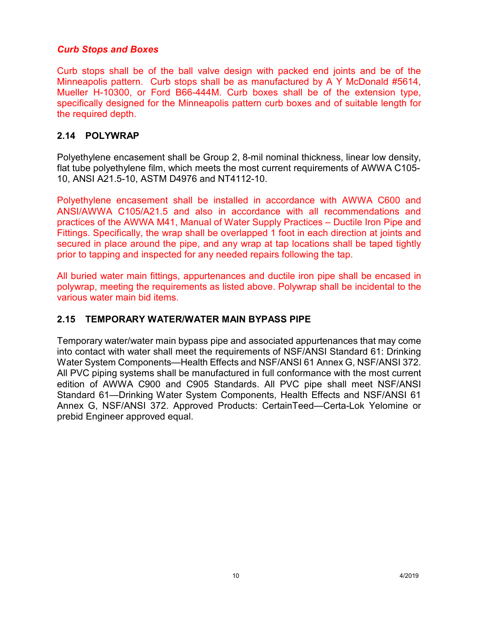#### *Curb Stops and Boxes*

Curb stops shall be of the ball valve design with packed end joints and be of the Minneapolis pattern. Curb stops shall be as manufactured by A Y McDonald #5614, Mueller H-10300, or Ford B66-444M. Curb boxes shall be of the extension type, specifically designed for the Minneapolis pattern curb boxes and of suitable length for the required depth.

#### **2.14 POLYWRAP**

Polyethylene encasement shall be Group 2, 8-mil nominal thickness, linear low density, flat tube polyethylene film, which meets the most current requirements of AWWA C105- 10, ANSI A21.5-10, ASTM D4976 and NT4112-10.

Polyethylene encasement shall be installed in accordance with AWWA C600 and ANSI/AWWA C105/A21.5 and also in accordance with all recommendations and practices of the AWWA M41, Manual of Water Supply Practices – Ductile Iron Pipe and Fittings. Specifically, the wrap shall be overlapped 1 foot in each direction at joints and secured in place around the pipe, and any wrap at tap locations shall be taped tightly prior to tapping and inspected for any needed repairs following the tap.

All buried water main fittings, appurtenances and ductile iron pipe shall be encased in polywrap, meeting the requirements as listed above. Polywrap shall be incidental to the various water main bid items.

#### **2.15 TEMPORARY WATER/WATER MAIN BYPASS PIPE**

Temporary water/water main bypass pipe and associated appurtenances that may come into contact with water shall meet the requirements of NSF/ANSI Standard 61: Drinking Water System Components—Health Effects and NSF/ANSI 61 Annex G, NSF/ANSI 372. All PVC piping systems shall be manufactured in full conformance with the most current edition of AWWA C900 and C905 Standards. All PVC pipe shall meet NSF/ANSI Standard 61—Drinking Water System Components, Health Effects and NSF/ANSI 61 Annex G, NSF/ANSI 372. Approved Products: CertainTeed—Certa-Lok Yelomine or prebid Engineer approved equal.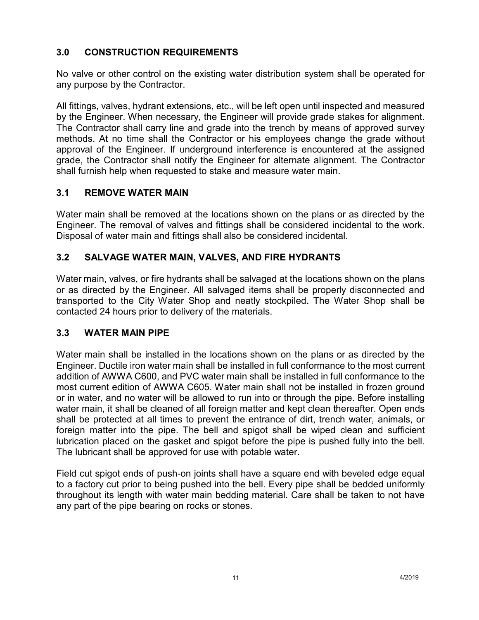# **3.0 CONSTRUCTION REQUIREMENTS**

No valve or other control on the existing water distribution system shall be operated for any purpose by the Contractor.

All fittings, valves, hydrant extensions, etc., will be left open until inspected and measured by the Engineer. When necessary, the Engineer will provide grade stakes for alignment. The Contractor shall carry line and grade into the trench by means of approved survey methods. At no time shall the Contractor or his employees change the grade without approval of the Engineer. If underground interference is encountered at the assigned grade, the Contractor shall notify the Engineer for alternate alignment. The Contractor shall furnish help when requested to stake and measure water main.

# **3.1 REMOVE WATER MAIN**

Water main shall be removed at the locations shown on the plans or as directed by the Engineer. The removal of valves and fittings shall be considered incidental to the work. Disposal of water main and fittings shall also be considered incidental.

# **3.2 SALVAGE WATER MAIN, VALVES, AND FIRE HYDRANTS**

Water main, valves, or fire hydrants shall be salvaged at the locations shown on the plans or as directed by the Engineer. All salvaged items shall be properly disconnected and transported to the City Water Shop and neatly stockpiled. The Water Shop shall be contacted 24 hours prior to delivery of the materials.

# **3.3 WATER MAIN PIPE**

Water main shall be installed in the locations shown on the plans or as directed by the Engineer. Ductile iron water main shall be installed in full conformance to the most current addition of AWWA C600, and PVC water main shall be installed in full conformance to the most current edition of AWWA C605. Water main shall not be installed in frozen ground or in water, and no water will be allowed to run into or through the pipe. Before installing water main, it shall be cleaned of all foreign matter and kept clean thereafter. Open ends shall be protected at all times to prevent the entrance of dirt, trench water, animals, or foreign matter into the pipe. The bell and spigot shall be wiped clean and sufficient lubrication placed on the gasket and spigot before the pipe is pushed fully into the bell. The lubricant shall be approved for use with potable water.

Field cut spigot ends of push-on joints shall have a square end with beveled edge equal to a factory cut prior to being pushed into the bell. Every pipe shall be bedded uniformly throughout its length with water main bedding material. Care shall be taken to not have any part of the pipe bearing on rocks or stones.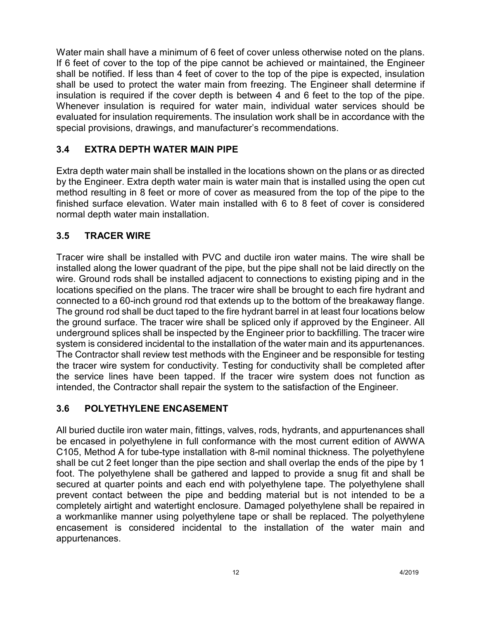Water main shall have a minimum of 6 feet of cover unless otherwise noted on the plans. If 6 feet of cover to the top of the pipe cannot be achieved or maintained, the Engineer shall be notified. If less than 4 feet of cover to the top of the pipe is expected, insulation shall be used to protect the water main from freezing. The Engineer shall determine if insulation is required if the cover depth is between 4 and 6 feet to the top of the pipe. Whenever insulation is required for water main, individual water services should be evaluated for insulation requirements. The insulation work shall be in accordance with the special provisions, drawings, and manufacturer's recommendations.

# **3.4 EXTRA DEPTH WATER MAIN PIPE**

Extra depth water main shall be installed in the locations shown on the plans or as directed by the Engineer. Extra depth water main is water main that is installed using the open cut method resulting in 8 feet or more of cover as measured from the top of the pipe to the finished surface elevation. Water main installed with 6 to 8 feet of cover is considered normal depth water main installation.

## **3.5 TRACER WIRE**

Tracer wire shall be installed with PVC and ductile iron water mains. The wire shall be installed along the lower quadrant of the pipe, but the pipe shall not be laid directly on the wire. Ground rods shall be installed adjacent to connections to existing piping and in the locations specified on the plans. The tracer wire shall be brought to each fire hydrant and connected to a 60-inch ground rod that extends up to the bottom of the breakaway flange. The ground rod shall be duct taped to the fire hydrant barrel in at least four locations below the ground surface. The tracer wire shall be spliced only if approved by the Engineer. All underground splices shall be inspected by the Engineer prior to backfilling. The tracer wire system is considered incidental to the installation of the water main and its appurtenances. The Contractor shall review test methods with the Engineer and be responsible for testing the tracer wire system for conductivity. Testing for conductivity shall be completed after the service lines have been tapped. If the tracer wire system does not function as intended, the Contractor shall repair the system to the satisfaction of the Engineer.

#### **3.6 POLYETHYLENE ENCASEMENT**

All buried ductile iron water main, fittings, valves, rods, hydrants, and appurtenances shall be encased in polyethylene in full conformance with the most current edition of AWWA C105, Method A for tube-type installation with 8-mil nominal thickness. The polyethylene shall be cut 2 feet longer than the pipe section and shall overlap the ends of the pipe by 1 foot. The polyethylene shall be gathered and lapped to provide a snug fit and shall be secured at quarter points and each end with polyethylene tape. The polyethylene shall prevent contact between the pipe and bedding material but is not intended to be a completely airtight and watertight enclosure. Damaged polyethylene shall be repaired in a workmanlike manner using polyethylene tape or shall be replaced. The polyethylene encasement is considered incidental to the installation of the water main and appurtenances.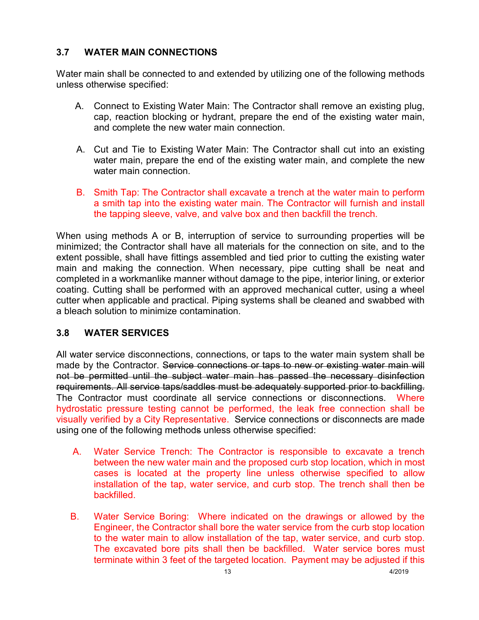# **3.7 WATER MAIN CONNECTIONS**

Water main shall be connected to and extended by utilizing one of the following methods unless otherwise specified:

- A. Connect to Existing Water Main: The Contractor shall remove an existing plug, cap, reaction blocking or hydrant, prepare the end of the existing water main, and complete the new water main connection.
- A. Cut and Tie to Existing Water Main: The Contractor shall cut into an existing water main, prepare the end of the existing water main, and complete the new water main connection.
- B. Smith Tap: The Contractor shall excavate a trench at the water main to perform a smith tap into the existing water main. The Contractor will furnish and install the tapping sleeve, valve, and valve box and then backfill the trench.

When using methods A or B, interruption of service to surrounding properties will be minimized; the Contractor shall have all materials for the connection on site, and to the extent possible, shall have fittings assembled and tied prior to cutting the existing water main and making the connection. When necessary, pipe cutting shall be neat and completed in a workmanlike manner without damage to the pipe, interior lining, or exterior coating. Cutting shall be performed with an approved mechanical cutter, using a wheel cutter when applicable and practical. Piping systems shall be cleaned and swabbed with a bleach solution to minimize contamination.

#### **3.8 WATER SERVICES**

All water service disconnections, connections, or taps to the water main system shall be made by the Contractor. Service connections or taps to new or existing water main will not be permitted until the subject water main has passed the necessary disinfection requirements. All service taps/saddles must be adequately supported prior to backfilling. The Contractor must coordinate all service connections or disconnections. Where hydrostatic pressure testing cannot be performed, the leak free connection shall be visually verified by a City Representative. Service connections or disconnects are made using one of the following methods unless otherwise specified:

- A. Water Service Trench: The Contractor is responsible to excavate a trench between the new water main and the proposed curb stop location, which in most cases is located at the property line unless otherwise specified to allow installation of the tap, water service, and curb stop. The trench shall then be backfilled.
- B. Water Service Boring: Where indicated on the drawings or allowed by the Engineer, the Contractor shall bore the water service from the curb stop location to the water main to allow installation of the tap, water service, and curb stop. The excavated bore pits shall then be backfilled. Water service bores must terminate within 3 feet of the targeted location. Payment may be adjusted if this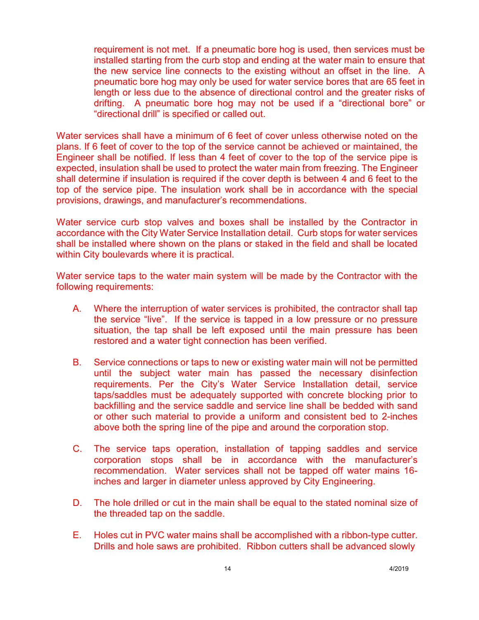requirement is not met. If a pneumatic bore hog is used, then services must be installed starting from the curb stop and ending at the water main to ensure that the new service line connects to the existing without an offset in the line. A pneumatic bore hog may only be used for water service bores that are 65 feet in length or less due to the absence of directional control and the greater risks of drifting. A pneumatic bore hog may not be used if a "directional bore" or "directional drill" is specified or called out.

Water services shall have a minimum of 6 feet of cover unless otherwise noted on the plans. If 6 feet of cover to the top of the service cannot be achieved or maintained, the Engineer shall be notified. If less than 4 feet of cover to the top of the service pipe is expected, insulation shall be used to protect the water main from freezing. The Engineer shall determine if insulation is required if the cover depth is between 4 and 6 feet to the top of the service pipe. The insulation work shall be in accordance with the special provisions, drawings, and manufacturer's recommendations.

Water service curb stop valves and boxes shall be installed by the Contractor in accordance with the City Water Service Installation detail. Curb stops for water services shall be installed where shown on the plans or staked in the field and shall be located within City boulevards where it is practical.

Water service taps to the water main system will be made by the Contractor with the following requirements:

- A. Where the interruption of water services is prohibited, the contractor shall tap the service "live". If the service is tapped in a low pressure or no pressure situation, the tap shall be left exposed until the main pressure has been restored and a water tight connection has been verified.
- B. Service connections or taps to new or existing water main will not be permitted until the subject water main has passed the necessary disinfection requirements. Per the City's Water Service Installation detail, service taps/saddles must be adequately supported with concrete blocking prior to backfilling and the service saddle and service line shall be bedded with sand or other such material to provide a uniform and consistent bed to 2-inches above both the spring line of the pipe and around the corporation stop.
- C. The service taps operation, installation of tapping saddles and service corporation stops shall be in accordance with the manufacturer's recommendation. Water services shall not be tapped off water mains 16 inches and larger in diameter unless approved by City Engineering.
- D. The hole drilled or cut in the main shall be equal to the stated nominal size of the threaded tap on the saddle.
- E. Holes cut in PVC water mains shall be accomplished with a ribbon-type cutter. Drills and hole saws are prohibited. Ribbon cutters shall be advanced slowly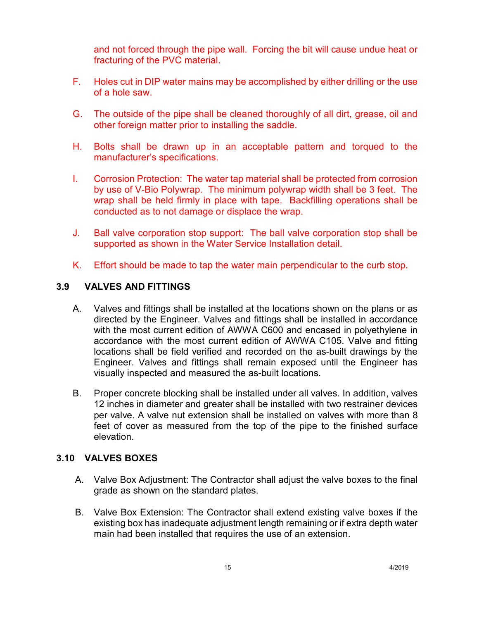and not forced through the pipe wall. Forcing the bit will cause undue heat or fracturing of the PVC material.

- F. Holes cut in DIP water mains may be accomplished by either drilling or the use of a hole saw.
- G. The outside of the pipe shall be cleaned thoroughly of all dirt, grease, oil and other foreign matter prior to installing the saddle.
- H. Bolts shall be drawn up in an acceptable pattern and torqued to the manufacturer's specifications.
- I. Corrosion Protection: The water tap material shall be protected from corrosion by use of V-Bio Polywrap. The minimum polywrap width shall be 3 feet. The wrap shall be held firmly in place with tape. Backfilling operations shall be conducted as to not damage or displace the wrap.
- J. Ball valve corporation stop support: The ball valve corporation stop shall be supported as shown in the Water Service Installation detail.
- K. Effort should be made to tap the water main perpendicular to the curb stop.

#### **3.9 VALVES AND FITTINGS**

- A. Valves and fittings shall be installed at the locations shown on the plans or as directed by the Engineer. Valves and fittings shall be installed in accordance with the most current edition of AWWA C600 and encased in polyethylene in accordance with the most current edition of AWWA C105. Valve and fitting locations shall be field verified and recorded on the as-built drawings by the Engineer. Valves and fittings shall remain exposed until the Engineer has visually inspected and measured the as-built locations.
- B. Proper concrete blocking shall be installed under all valves. In addition, valves 12 inches in diameter and greater shall be installed with two restrainer devices per valve. A valve nut extension shall be installed on valves with more than 8 feet of cover as measured from the top of the pipe to the finished surface elevation.

#### **3.10 VALVES BOXES**

- A. Valve Box Adjustment: The Contractor shall adjust the valve boxes to the final grade as shown on the standard plates.
- B. Valve Box Extension: The Contractor shall extend existing valve boxes if the existing box has inadequate adjustment length remaining or if extra depth water main had been installed that requires the use of an extension.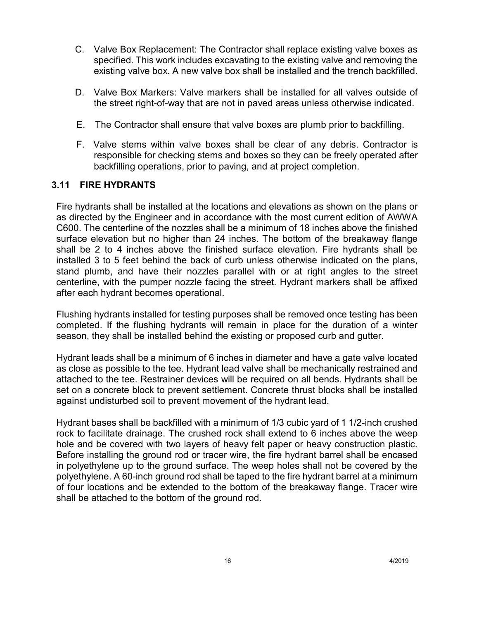- C. Valve Box Replacement: The Contractor shall replace existing valve boxes as specified. This work includes excavating to the existing valve and removing the existing valve box. A new valve box shall be installed and the trench backfilled.
- D. Valve Box Markers: Valve markers shall be installed for all valves outside of the street right-of-way that are not in paved areas unless otherwise indicated.
- E. The Contractor shall ensure that valve boxes are plumb prior to backfilling.
- F. Valve stems within valve boxes shall be clear of any debris. Contractor is responsible for checking stems and boxes so they can be freely operated after backfilling operations, prior to paving, and at project completion.

## **3.11 FIRE HYDRANTS**

Fire hydrants shall be installed at the locations and elevations as shown on the plans or as directed by the Engineer and in accordance with the most current edition of AWWA C600. The centerline of the nozzles shall be a minimum of 18 inches above the finished surface elevation but no higher than 24 inches. The bottom of the breakaway flange shall be 2 to 4 inches above the finished surface elevation. Fire hydrants shall be installed 3 to 5 feet behind the back of curb unless otherwise indicated on the plans, stand plumb, and have their nozzles parallel with or at right angles to the street centerline, with the pumper nozzle facing the street. Hydrant markers shall be affixed after each hydrant becomes operational.

Flushing hydrants installed for testing purposes shall be removed once testing has been completed. If the flushing hydrants will remain in place for the duration of a winter season, they shall be installed behind the existing or proposed curb and gutter.

Hydrant leads shall be a minimum of 6 inches in diameter and have a gate valve located as close as possible to the tee. Hydrant lead valve shall be mechanically restrained and attached to the tee. Restrainer devices will be required on all bends. Hydrants shall be set on a concrete block to prevent settlement. Concrete thrust blocks shall be installed against undisturbed soil to prevent movement of the hydrant lead.

Hydrant bases shall be backfilled with a minimum of 1/3 cubic yard of 1 1/2-inch crushed rock to facilitate drainage. The crushed rock shall extend to 6 inches above the weep hole and be covered with two layers of heavy felt paper or heavy construction plastic. Before installing the ground rod or tracer wire, the fire hydrant barrel shall be encased in polyethylene up to the ground surface. The weep holes shall not be covered by the polyethylene. A 60-inch ground rod shall be taped to the fire hydrant barrel at a minimum of four locations and be extended to the bottom of the breakaway flange. Tracer wire shall be attached to the bottom of the ground rod.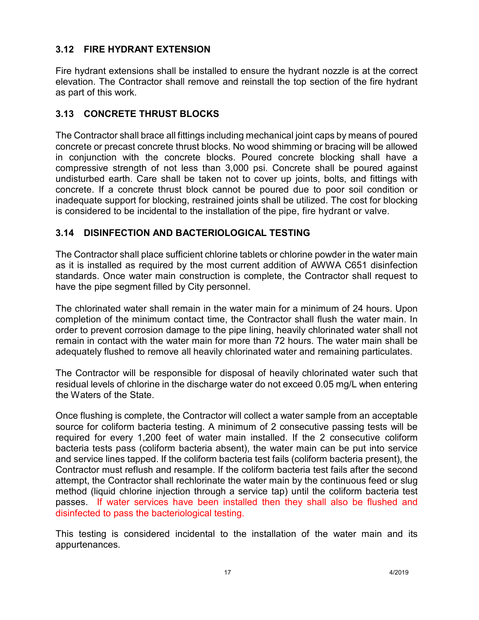# **3.12 FIRE HYDRANT EXTENSION**

Fire hydrant extensions shall be installed to ensure the hydrant nozzle is at the correct elevation. The Contractor shall remove and reinstall the top section of the fire hydrant as part of this work.

# **3.13 CONCRETE THRUST BLOCKS**

The Contractor shall brace all fittings including mechanical joint caps by means of poured concrete or precast concrete thrust blocks. No wood shimming or bracing will be allowed in conjunction with the concrete blocks. Poured concrete blocking shall have a compressive strength of not less than 3,000 psi. Concrete shall be poured against undisturbed earth. Care shall be taken not to cover up joints, bolts, and fittings with concrete. If a concrete thrust block cannot be poured due to poor soil condition or inadequate support for blocking, restrained joints shall be utilized. The cost for blocking is considered to be incidental to the installation of the pipe, fire hydrant or valve.

# **3.14 DISINFECTION AND BACTERIOLOGICAL TESTING**

The Contractor shall place sufficient chlorine tablets or chlorine powder in the water main as it is installed as required by the most current addition of AWWA C651 disinfection standards. Once water main construction is complete, the Contractor shall request to have the pipe segment filled by City personnel.

The chlorinated water shall remain in the water main for a minimum of 24 hours. Upon completion of the minimum contact time, the Contractor shall flush the water main. In order to prevent corrosion damage to the pipe lining, heavily chlorinated water shall not remain in contact with the water main for more than 72 hours. The water main shall be adequately flushed to remove all heavily chlorinated water and remaining particulates.

The Contractor will be responsible for disposal of heavily chlorinated water such that residual levels of chlorine in the discharge water do not exceed 0.05 mg/L when entering the Waters of the State.

Once flushing is complete, the Contractor will collect a water sample from an acceptable source for coliform bacteria testing. A minimum of 2 consecutive passing tests will be required for every 1,200 feet of water main installed. If the 2 consecutive coliform bacteria tests pass (coliform bacteria absent), the water main can be put into service and service lines tapped. If the coliform bacteria test fails (coliform bacteria present), the Contractor must reflush and resample. If the coliform bacteria test fails after the second attempt, the Contractor shall rechlorinate the water main by the continuous feed or slug method (liquid chlorine injection through a service tap) until the coliform bacteria test passes. If water services have been installed then they shall also be flushed and disinfected to pass the bacteriological testing.

This testing is considered incidental to the installation of the water main and its appurtenances.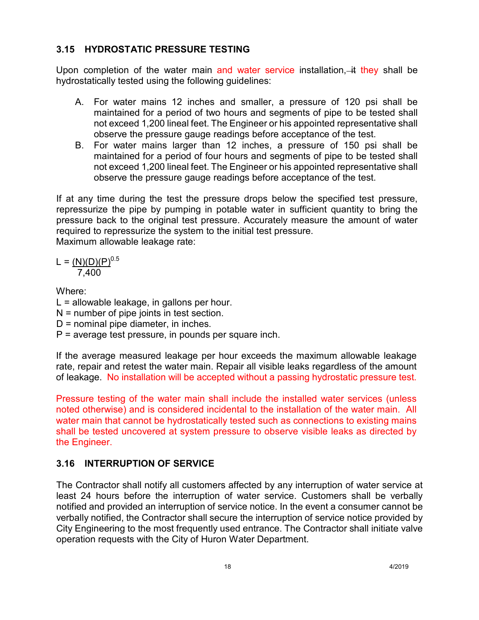# **3.15 HYDROSTATIC PRESSURE TESTING**

Upon completion of the water main and water service installation,  $\ddot{a}$  they shall be hydrostatically tested using the following guidelines:

- A. For water mains 12 inches and smaller, a pressure of 120 psi shall be maintained for a period of two hours and segments of pipe to be tested shall not exceed 1,200 lineal feet. The Engineer or his appointed representative shall observe the pressure gauge readings before acceptance of the test.
- B. For water mains larger than 12 inches, a pressure of 150 psi shall be maintained for a period of four hours and segments of pipe to be tested shall not exceed 1,200 lineal feet. The Engineer or his appointed representative shall observe the pressure gauge readings before acceptance of the test.

If at any time during the test the pressure drops below the specified test pressure, repressurize the pipe by pumping in potable water in sufficient quantity to bring the pressure back to the original test pressure. Accurately measure the amount of water required to repressurize the system to the initial test pressure. Maximum allowable leakage rate:

$$
L = \frac{(N)(D)(P)^{0.5}}{7,400}
$$

Where:

 $L =$  allowable leakage, in gallons per hour. N = number of pipe joints in test section.

- D = nominal pipe diameter, in inches.
- P = average test pressure, in pounds per square inch.

If the average measured leakage per hour exceeds the maximum allowable leakage rate, repair and retest the water main. Repair all visible leaks regardless of the amount of leakage. No installation will be accepted without a passing hydrostatic pressure test.

Pressure testing of the water main shall include the installed water services (unless noted otherwise) and is considered incidental to the installation of the water main. All water main that cannot be hydrostatically tested such as connections to existing mains shall be tested uncovered at system pressure to observe visible leaks as directed by the Engineer.

# **3.16 INTERRUPTION OF SERVICE**

The Contractor shall notify all customers affected by any interruption of water service at least 24 hours before the interruption of water service. Customers shall be verbally notified and provided an interruption of service notice. In the event a consumer cannot be verbally notified, the Contractor shall secure the interruption of service notice provided by City Engineering to the most frequently used entrance. The Contractor shall initiate valve operation requests with the City of Huron Water Department.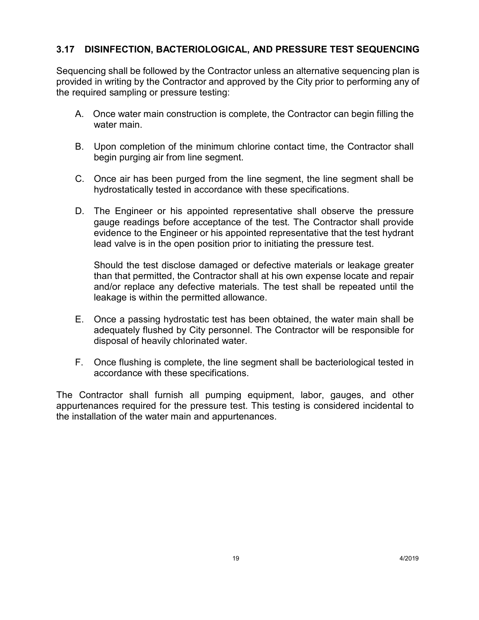# **3.17 DISINFECTION, BACTERIOLOGICAL, AND PRESSURE TEST SEQUENCING**

Sequencing shall be followed by the Contractor unless an alternative sequencing plan is provided in writing by the Contractor and approved by the City prior to performing any of the required sampling or pressure testing:

- A. Once water main construction is complete, the Contractor can begin filling the water main.
- B. Upon completion of the minimum chlorine contact time, the Contractor shall begin purging air from line segment.
- C. Once air has been purged from the line segment, the line segment shall be hydrostatically tested in accordance with these specifications.
- D. The Engineer or his appointed representative shall observe the pressure gauge readings before acceptance of the test. The Contractor shall provide evidence to the Engineer or his appointed representative that the test hydrant lead valve is in the open position prior to initiating the pressure test.

Should the test disclose damaged or defective materials or leakage greater than that permitted, the Contractor shall at his own expense locate and repair and/or replace any defective materials. The test shall be repeated until the leakage is within the permitted allowance.

- E. Once a passing hydrostatic test has been obtained, the water main shall be adequately flushed by City personnel. The Contractor will be responsible for disposal of heavily chlorinated water.
- F. Once flushing is complete, the line segment shall be bacteriological tested in accordance with these specifications.

The Contractor shall furnish all pumping equipment, labor, gauges, and other appurtenances required for the pressure test. This testing is considered incidental to the installation of the water main and appurtenances.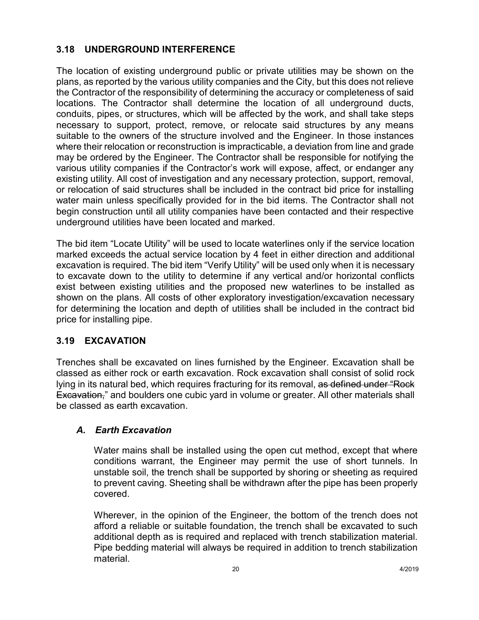# **3.18 UNDERGROUND INTERFERENCE**

The location of existing underground public or private utilities may be shown on the plans, as reported by the various utility companies and the City, but this does not relieve the Contractor of the responsibility of determining the accuracy or completeness of said locations. The Contractor shall determine the location of all underground ducts, conduits, pipes, or structures, which will be affected by the work, and shall take steps necessary to support, protect, remove, or relocate said structures by any means suitable to the owners of the structure involved and the Engineer. In those instances where their relocation or reconstruction is impracticable, a deviation from line and grade may be ordered by the Engineer. The Contractor shall be responsible for notifying the various utility companies if the Contractor's work will expose, affect, or endanger any existing utility. All cost of investigation and any necessary protection, support, removal, or relocation of said structures shall be included in the contract bid price for installing water main unless specifically provided for in the bid items. The Contractor shall not begin construction until all utility companies have been contacted and their respective underground utilities have been located and marked.

The bid item "Locate Utility" will be used to locate waterlines only if the service location marked exceeds the actual service location by 4 feet in either direction and additional excavation is required. The bid item "Verify Utility" will be used only when it is necessary to excavate down to the utility to determine if any vertical and/or horizontal conflicts exist between existing utilities and the proposed new waterlines to be installed as shown on the plans. All costs of other exploratory investigation/excavation necessary for determining the location and depth of utilities shall be included in the contract bid price for installing pipe.

# **3.19 EXCAVATION**

Trenches shall be excavated on lines furnished by the Engineer. Excavation shall be classed as either rock or earth excavation. Rock excavation shall consist of solid rock lying in its natural bed, which requires fracturing for its removal, as defined under "Rock Excavation," and boulders one cubic yard in volume or greater. All other materials shall be classed as earth excavation.

# *A. Earth Excavation*

Water mains shall be installed using the open cut method, except that where conditions warrant, the Engineer may permit the use of short tunnels. In unstable soil, the trench shall be supported by shoring or sheeting as required to prevent caving. Sheeting shall be withdrawn after the pipe has been properly covered.

Wherever, in the opinion of the Engineer, the bottom of the trench does not afford a reliable or suitable foundation, the trench shall be excavated to such additional depth as is required and replaced with trench stabilization material. Pipe bedding material will always be required in addition to trench stabilization material.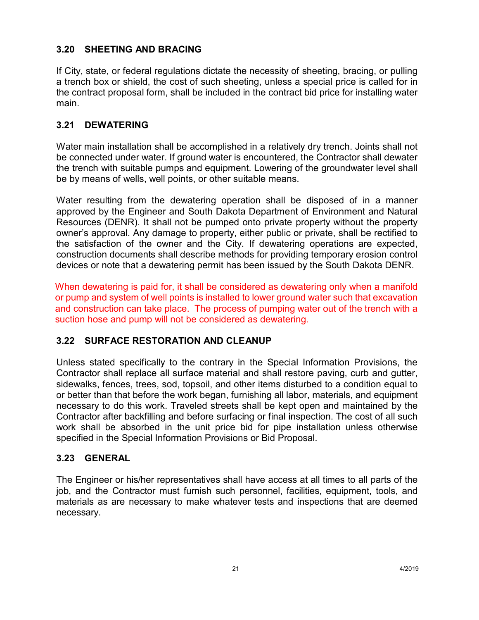## **3.20 SHEETING AND BRACING**

If City, state, or federal regulations dictate the necessity of sheeting, bracing, or pulling a trench box or shield, the cost of such sheeting, unless a special price is called for in the contract proposal form, shall be included in the contract bid price for installing water main.

#### **3.21 DEWATERING**

Water main installation shall be accomplished in a relatively dry trench. Joints shall not be connected under water. If ground water is encountered, the Contractor shall dewater the trench with suitable pumps and equipment. Lowering of the groundwater level shall be by means of wells, well points, or other suitable means.

Water resulting from the dewatering operation shall be disposed of in a manner approved by the Engineer and South Dakota Department of Environment and Natural Resources (DENR). It shall not be pumped onto private property without the property owner's approval. Any damage to property, either public or private, shall be rectified to the satisfaction of the owner and the City. If dewatering operations are expected, construction documents shall describe methods for providing temporary erosion control devices or note that a dewatering permit has been issued by the South Dakota DENR.

When dewatering is paid for, it shall be considered as dewatering only when a manifold or pump and system of well points is installed to lower ground water such that excavation and construction can take place. The process of pumping water out of the trench with a suction hose and pump will not be considered as dewatering.

#### **3.22 SURFACE RESTORATION AND CLEANUP**

Unless stated specifically to the contrary in the Special Information Provisions, the Contractor shall replace all surface material and shall restore paving, curb and gutter, sidewalks, fences, trees, sod, topsoil, and other items disturbed to a condition equal to or better than that before the work began, furnishing all labor, materials, and equipment necessary to do this work. Traveled streets shall be kept open and maintained by the Contractor after backfilling and before surfacing or final inspection. The cost of all such work shall be absorbed in the unit price bid for pipe installation unless otherwise specified in the Special Information Provisions or Bid Proposal.

#### **3.23 GENERAL**

The Engineer or his/her representatives shall have access at all times to all parts of the job, and the Contractor must furnish such personnel, facilities, equipment, tools, and materials as are necessary to make whatever tests and inspections that are deemed necessary.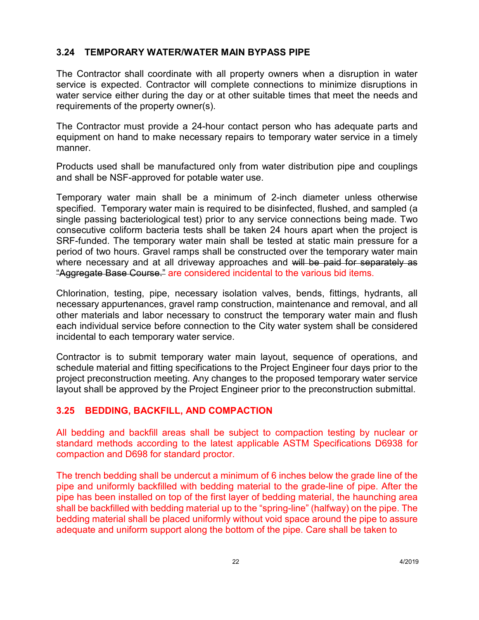#### **3.24 TEMPORARY WATER/WATER MAIN BYPASS PIPE**

The Contractor shall coordinate with all property owners when a disruption in water service is expected. Contractor will complete connections to minimize disruptions in water service either during the day or at other suitable times that meet the needs and requirements of the property owner(s).

The Contractor must provide a 24-hour contact person who has adequate parts and equipment on hand to make necessary repairs to temporary water service in a timely manner.

Products used shall be manufactured only from water distribution pipe and couplings and shall be NSF-approved for potable water use.

Temporary water main shall be a minimum of 2-inch diameter unless otherwise specified. Temporary water main is required to be disinfected, flushed, and sampled (a single passing bacteriological test) prior to any service connections being made. Two consecutive coliform bacteria tests shall be taken 24 hours apart when the project is SRF-funded. The temporary water main shall be tested at static main pressure for a period of two hours. Gravel ramps shall be constructed over the temporary water main where necessary and at all driveway approaches and will be paid for separately as "Aggregate Base Course." are considered incidental to the various bid items.

Chlorination, testing, pipe, necessary isolation valves, bends, fittings, hydrants, all necessary appurtenances, gravel ramp construction, maintenance and removal, and all other materials and labor necessary to construct the temporary water main and flush each individual service before connection to the City water system shall be considered incidental to each temporary water service.

Contractor is to submit temporary water main layout, sequence of operations, and schedule material and fitting specifications to the Project Engineer four days prior to the project preconstruction meeting. Any changes to the proposed temporary water service layout shall be approved by the Project Engineer prior to the preconstruction submittal.

# **3.25 BEDDING, BACKFILL, AND COMPACTION**

All bedding and backfill areas shall be subject to compaction testing by nuclear or standard methods according to the latest applicable ASTM Specifications D6938 for compaction and D698 for standard proctor.

The trench bedding shall be undercut a minimum of 6 inches below the grade line of the pipe and uniformly backfilled with bedding material to the grade-line of pipe. After the pipe has been installed on top of the first layer of bedding material, the haunching area shall be backfilled with bedding material up to the "spring-line" (halfway) on the pipe. The bedding material shall be placed uniformly without void space around the pipe to assure adequate and uniform support along the bottom of the pipe. Care shall be taken to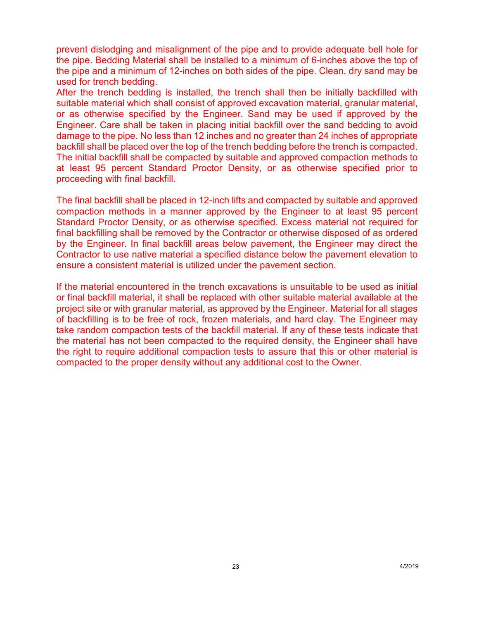prevent dislodging and misalignment of the pipe and to provide adequate bell hole for the pipe. Bedding Material shall be installed to a minimum of 6-inches above the top of the pipe and a minimum of 12-inches on both sides of the pipe. Clean, dry sand may be used for trench bedding.

After the trench bedding is installed, the trench shall then be initially backfilled with suitable material which shall consist of approved excavation material, granular material, or as otherwise specified by the Engineer. Sand may be used if approved by the Engineer. Care shall be taken in placing initial backfill over the sand bedding to avoid damage to the pipe. No less than 12 inches and no greater than 24 inches of appropriate backfill shall be placed over the top of the trench bedding before the trench is compacted. The initial backfill shall be compacted by suitable and approved compaction methods to at least 95 percent Standard Proctor Density, or as otherwise specified prior to proceeding with final backfill.

The final backfill shall be placed in 12-inch lifts and compacted by suitable and approved compaction methods in a manner approved by the Engineer to at least 95 percent Standard Proctor Density, or as otherwise specified. Excess material not required for final backfilling shall be removed by the Contractor or otherwise disposed of as ordered by the Engineer. In final backfill areas below pavement, the Engineer may direct the Contractor to use native material a specified distance below the pavement elevation to ensure a consistent material is utilized under the pavement section.

If the material encountered in the trench excavations is unsuitable to be used as initial or final backfill material, it shall be replaced with other suitable material available at the project site or with granular material, as approved by the Engineer. Material for all stages of backfilling is to be free of rock, frozen materials, and hard clay. The Engineer may take random compaction tests of the backfill material. If any of these tests indicate that the material has not been compacted to the required density, the Engineer shall have the right to require additional compaction tests to assure that this or other material is compacted to the proper density without any additional cost to the Owner.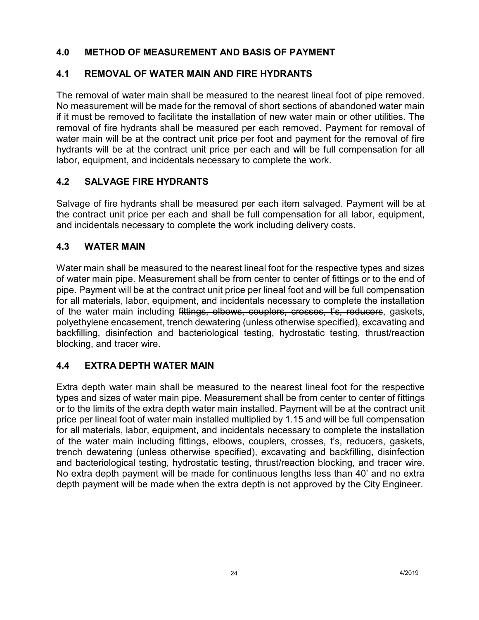## **4.0 METHOD OF MEASUREMENT AND BASIS OF PAYMENT**

## **4.1 REMOVAL OF WATER MAIN AND FIRE HYDRANTS**

The removal of water main shall be measured to the nearest lineal foot of pipe removed. No measurement will be made for the removal of short sections of abandoned water main if it must be removed to facilitate the installation of new water main or other utilities. The removal of fire hydrants shall be measured per each removed. Payment for removal of water main will be at the contract unit price per foot and payment for the removal of fire hydrants will be at the contract unit price per each and will be full compensation for all labor, equipment, and incidentals necessary to complete the work.

## **4.2 SALVAGE FIRE HYDRANTS**

Salvage of fire hydrants shall be measured per each item salvaged. Payment will be at the contract unit price per each and shall be full compensation for all labor, equipment, and incidentals necessary to complete the work including delivery costs.

#### **4.3 WATER MAIN**

Water main shall be measured to the nearest lineal foot for the respective types and sizes of water main pipe. Measurement shall be from center to center of fittings or to the end of pipe. Payment will be at the contract unit price per lineal foot and will be full compensation for all materials, labor, equipment, and incidentals necessary to complete the installation of the water main including fittings, elbows, couplers, crosses, t's, reducers, gaskets, polyethylene encasement, trench dewatering (unless otherwise specified), excavating and backfilling, disinfection and bacteriological testing, hydrostatic testing, thrust/reaction blocking, and tracer wire.

# **4.4 EXTRA DEPTH WATER MAIN**

Extra depth water main shall be measured to the nearest lineal foot for the respective types and sizes of water main pipe. Measurement shall be from center to center of fittings or to the limits of the extra depth water main installed. Payment will be at the contract unit price per lineal foot of water main installed multiplied by 1.15 and will be full compensation for all materials, labor, equipment, and incidentals necessary to complete the installation of the water main including fittings, elbows, couplers, crosses, t's, reducers, gaskets, trench dewatering (unless otherwise specified), excavating and backfilling, disinfection and bacteriological testing, hydrostatic testing, thrust/reaction blocking, and tracer wire. No extra depth payment will be made for continuous lengths less than 40' and no extra depth payment will be made when the extra depth is not approved by the City Engineer.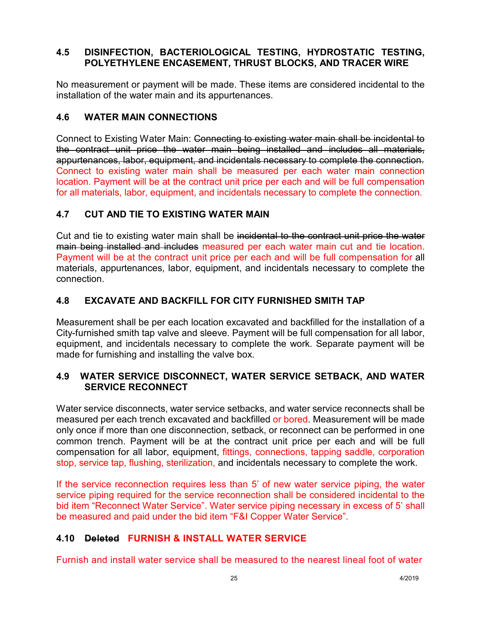## **4.5 DISINFECTION, BACTERIOLOGICAL TESTING, HYDROSTATIC TESTING, POLYETHYLENE ENCASEMENT, THRUST BLOCKS, AND TRACER WIRE**

No measurement or payment will be made. These items are considered incidental to the installation of the water main and its appurtenances.

## **4.6 WATER MAIN CONNECTIONS**

Connect to Existing Water Main: Connecting to existing water main shall be incidental to the contract unit price the water main being installed and includes all materials, appurtenances, labor, equipment, and incidentals necessary to complete the connection. Connect to existing water main shall be measured per each water main connection location. Payment will be at the contract unit price per each and will be full compensation for all materials, labor, equipment, and incidentals necessary to complete the connection.

# **4.7 CUT AND TIE TO EXISTING WATER MAIN**

Cut and tie to existing water main shall be incidental to the contract unit price the water main being installed and includes measured per each water main cut and tie location. Payment will be at the contract unit price per each and will be full compensation for all materials, appurtenances, labor, equipment, and incidentals necessary to complete the connection.

# **4.8 EXCAVATE AND BACKFILL FOR CITY FURNISHED SMITH TAP**

Measurement shall be per each location excavated and backfilled for the installation of a City-furnished smith tap valve and sleeve. Payment will be full compensation for all labor, equipment, and incidentals necessary to complete the work. Separate payment will be made for furnishing and installing the valve box.

## **4.9 WATER SERVICE DISCONNECT, WATER SERVICE SETBACK, AND WATER SERVICE RECONNECT**

Water service disconnects, water service setbacks, and water service reconnects shall be measured per each trench excavated and backfilled or bored. Measurement will be made only once if more than one disconnection, setback, or reconnect can be performed in one common trench. Payment will be at the contract unit price per each and will be full compensation for all labor, equipment, fittings, connections, tapping saddle, corporation stop, service tap, flushing, sterilization, and incidentals necessary to complete the work.

If the service reconnection requires less than 5' of new water service piping, the water service piping required for the service reconnection shall be considered incidental to the bid item "Reconnect Water Service". Water service piping necessary in excess of 5' shall be measured and paid under the bid item "F&I Copper Water Service".

# **4.10 Deleted FURNISH & INSTALL WATER SERVICE**

Furnish and install water service shall be measured to the nearest lineal foot of water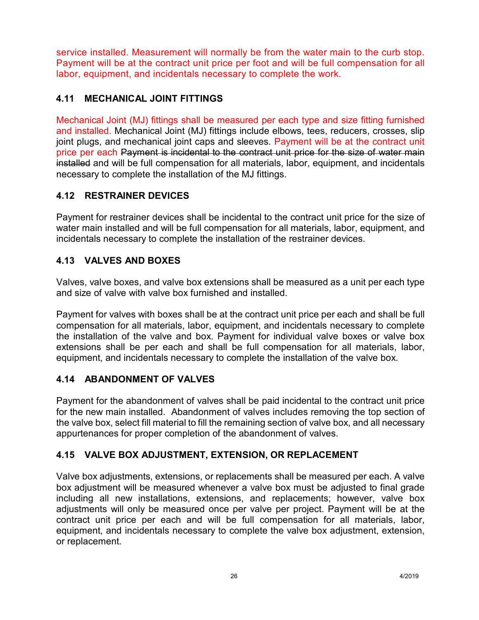service installed. Measurement will normally be from the water main to the curb stop. Payment will be at the contract unit price per foot and will be full compensation for all labor, equipment, and incidentals necessary to complete the work.

# **4.11 MECHANICAL JOINT FITTINGS**

Mechanical Joint (MJ) fittings shall be measured per each type and size fitting furnished and installed. Mechanical Joint (MJ) fittings include elbows, tees, reducers, crosses, slip joint plugs, and mechanical joint caps and sleeves. Payment will be at the contract unit price per each Payment is incidental to the contract unit price for the size of water main installed and will be full compensation for all materials, labor, equipment, and incidentals necessary to complete the installation of the MJ fittings.

# **4.12 RESTRAINER DEVICES**

Payment for restrainer devices shall be incidental to the contract unit price for the size of water main installed and will be full compensation for all materials, labor, equipment, and incidentals necessary to complete the installation of the restrainer devices.

# **4.13 VALVES AND BOXES**

Valves, valve boxes, and valve box extensions shall be measured as a unit per each type and size of valve with valve box furnished and installed.

Payment for valves with boxes shall be at the contract unit price per each and shall be full compensation for all materials, labor, equipment, and incidentals necessary to complete the installation of the valve and box. Payment for individual valve boxes or valve box extensions shall be per each and shall be full compensation for all materials, labor, equipment, and incidentals necessary to complete the installation of the valve box.

# **4.14 ABANDONMENT OF VALVES**

Payment for the abandonment of valves shall be paid incidental to the contract unit price for the new main installed. Abandonment of valves includes removing the top section of the valve box, select fill material to fill the remaining section of valve box, and all necessary appurtenances for proper completion of the abandonment of valves.

# **4.15 VALVE BOX ADJUSTMENT, EXTENSION, OR REPLACEMENT**

Valve box adjustments, extensions, or replacements shall be measured per each. A valve box adjustment will be measured whenever a valve box must be adjusted to final grade including all new installations, extensions, and replacements; however, valve box adjustments will only be measured once per valve per project. Payment will be at the contract unit price per each and will be full compensation for all materials, labor, equipment, and incidentals necessary to complete the valve box adjustment, extension, or replacement.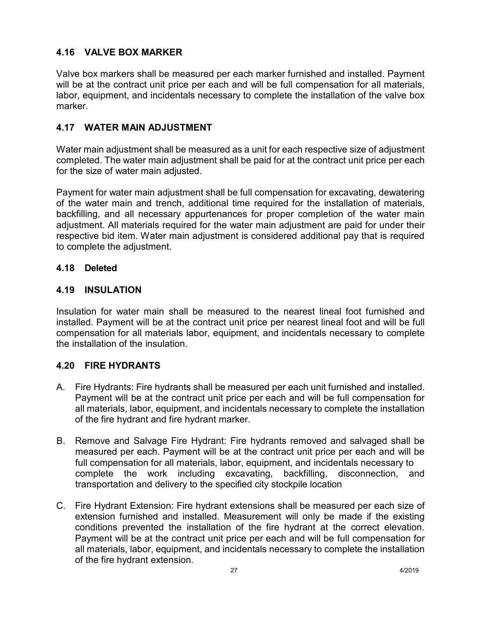# **4.16 VALVE BOX MARKER**

Valve box markers shall be measured per each marker furnished and installed. Payment will be at the contract unit price per each and will be full compensation for all materials, labor, equipment, and incidentals necessary to complete the installation of the valve box marker.

## **4.17 WATER MAIN ADJUSTMENT**

Water main adjustment shall be measured as a unit for each respective size of adjustment completed. The water main adjustment shall be paid for at the contract unit price per each for the size of water main adjusted.

Payment for water main adjustment shall be full compensation for excavating, dewatering of the water main and trench, additional time required for the installation of materials, backfilling, and all necessary appurtenances for proper completion of the water main adjustment. All materials required for the water main adjustment are paid for under their respective bid item. Water main adjustment is considered additional pay that is required to complete the adjustment.

#### **4.18 Deleted**

#### **4.19 INSULATION**

Insulation for water main shall be measured to the nearest lineal foot furnished and installed. Payment will be at the contract unit price per nearest lineal foot and will be full compensation for all materials labor, equipment, and incidentals necessary to complete the installation of the insulation.

#### **4.20 FIRE HYDRANTS**

- A. Fire Hydrants: Fire hydrants shall be measured per each unit furnished and installed. Payment will be at the contract unit price per each and will be full compensation for all materials, labor, equipment, and incidentals necessary to complete the installation of the fire hydrant and fire hydrant marker.
- B. Remove and Salvage Fire Hydrant: Fire hydrants removed and salvaged shall be measured per each. Payment will be at the contract unit price per each and will be full compensation for all materials, labor, equipment, and incidentals necessary to complete the work including excavating, backfilling, disconnection, and transportation and delivery to the specified city stockpile location
- C. Fire Hydrant Extension: Fire hydrant extensions shall be measured per each size of extension furnished and installed. Measurement will only be made if the existing conditions prevented the installation of the fire hydrant at the correct elevation. Payment will be at the contract unit price per each and will be full compensation for all materials, labor, equipment, and incidentals necessary to complete the installation of the fire hydrant extension.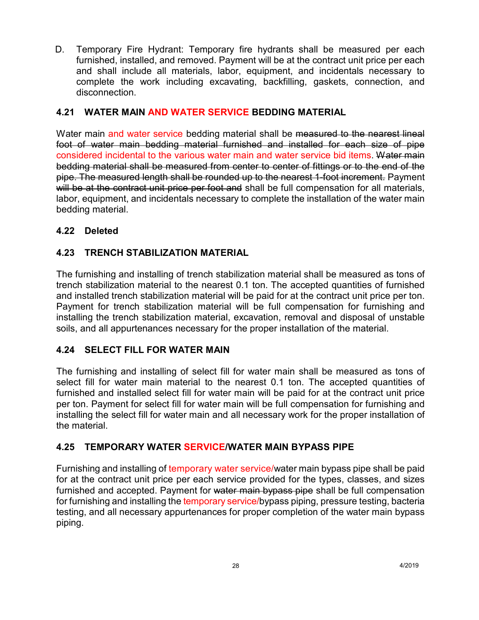D. Temporary Fire Hydrant: Temporary fire hydrants shall be measured per each furnished, installed, and removed. Payment will be at the contract unit price per each and shall include all materials, labor, equipment, and incidentals necessary to complete the work including excavating, backfilling, gaskets, connection, and disconnection.

## **4.21 WATER MAIN AND WATER SERVICE BEDDING MATERIAL**

Water main and water service bedding material shall be measured to the nearest lineal foot of water main bedding material furnished and installed for each size of pipe considered incidental to the various water main and water service bid items. Water main bedding material shall be measured from center to center of fittings or to the end of the pipe. The measured length shall be rounded up to the nearest 1-foot increment. Payment will be at the contract unit price per foot and shall be full compensation for all materials, labor, equipment, and incidentals necessary to complete the installation of the water main bedding material.

## **4.22 Deleted**

## **4.23 TRENCH STABILIZATION MATERIAL**

The furnishing and installing of trench stabilization material shall be measured as tons of trench stabilization material to the nearest 0.1 ton. The accepted quantities of furnished and installed trench stabilization material will be paid for at the contract unit price per ton. Payment for trench stabilization material will be full compensation for furnishing and installing the trench stabilization material, excavation, removal and disposal of unstable soils, and all appurtenances necessary for the proper installation of the material.

#### **4.24 SELECT FILL FOR WATER MAIN**

The furnishing and installing of select fill for water main shall be measured as tons of select fill for water main material to the nearest 0.1 ton. The accepted quantities of furnished and installed select fill for water main will be paid for at the contract unit price per ton. Payment for select fill for water main will be full compensation for furnishing and installing the select fill for water main and all necessary work for the proper installation of the material.

#### **4.25 TEMPORARY WATER SERVICE/WATER MAIN BYPASS PIPE**

Furnishing and installing of temporary water service/water main bypass pipe shall be paid for at the contract unit price per each service provided for the types, classes, and sizes furnished and accepted. Payment for water main bypass pipe shall be full compensation for furnishing and installing the temporary service/bypass piping, pressure testing, bacteria testing, and all necessary appurtenances for proper completion of the water main bypass piping.